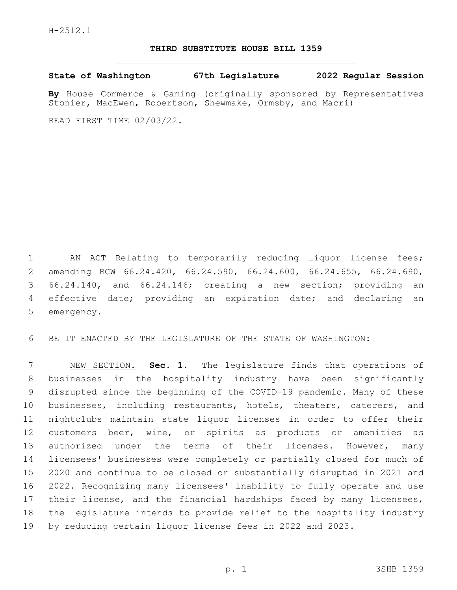## **THIRD SUBSTITUTE HOUSE BILL 1359**

**State of Washington 67th Legislature 2022 Regular Session**

**By** House Commerce & Gaming (originally sponsored by Representatives Stonier, MacEwen, Robertson, Shewmake, Ormsby, and Macri)

READ FIRST TIME 02/03/22.

 AN ACT Relating to temporarily reducing liquor license fees; amending RCW 66.24.420, 66.24.590, 66.24.600, 66.24.655, 66.24.690, 66.24.140, and 66.24.146; creating a new section; providing an effective date; providing an expiration date; and declaring an 5 emergency.

BE IT ENACTED BY THE LEGISLATURE OF THE STATE OF WASHINGTON:

 NEW SECTION. **Sec. 1.** The legislature finds that operations of businesses in the hospitality industry have been significantly disrupted since the beginning of the COVID-19 pandemic. Many of these businesses, including restaurants, hotels, theaters, caterers, and nightclubs maintain state liquor licenses in order to offer their customers beer, wine, or spirits as products or amenities as 13 authorized under the terms of their licenses. However, many licensees' businesses were completely or partially closed for much of 2020 and continue to be closed or substantially disrupted in 2021 and 2022. Recognizing many licensees' inability to fully operate and use 17 their license, and the financial hardships faced by many licensees, the legislature intends to provide relief to the hospitality industry by reducing certain liquor license fees in 2022 and 2023.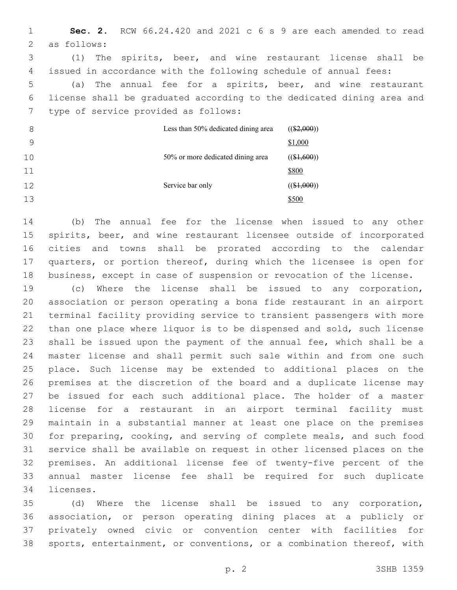**Sec. 2.** RCW 66.24.420 and 2021 c 6 s 9 are each amended to read 2 as follows: (1) The spirits, beer, and wine restaurant license shall be issued in accordance with the following schedule of annual fees: (a) The annual fee for a spirits, beer, and wine restaurant license shall be graduated according to the dedicated dining area and 7 type of service provided as follows: Less than 50% dedicated dining area  $((\$2,000))$ \$1,000 50% or more dedicated dining area  $((\$1,600))$ \$800 Service bar only  $((\$1,000))$ \$500

 (b) The annual fee for the license when issued to any other spirits, beer, and wine restaurant licensee outside of incorporated cities and towns shall be prorated according to the calendar quarters, or portion thereof, during which the licensee is open for business, except in case of suspension or revocation of the license.

 (c) Where the license shall be issued to any corporation, association or person operating a bona fide restaurant in an airport terminal facility providing service to transient passengers with more than one place where liquor is to be dispensed and sold, such license shall be issued upon the payment of the annual fee, which shall be a master license and shall permit such sale within and from one such place. Such license may be extended to additional places on the premises at the discretion of the board and a duplicate license may be issued for each such additional place. The holder of a master license for a restaurant in an airport terminal facility must maintain in a substantial manner at least one place on the premises for preparing, cooking, and serving of complete meals, and such food service shall be available on request in other licensed places on the premises. An additional license fee of twenty-five percent of the annual master license fee shall be required for such duplicate 34 licenses.

 (d) Where the license shall be issued to any corporation, association, or person operating dining places at a publicly or privately owned civic or convention center with facilities for sports, entertainment, or conventions, or a combination thereof, with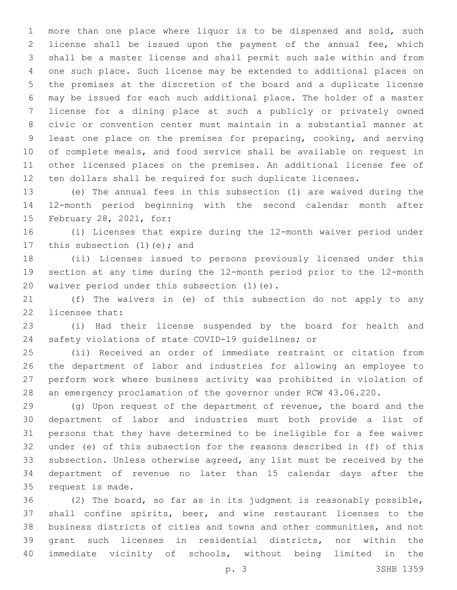more than one place where liquor is to be dispensed and sold, such license shall be issued upon the payment of the annual fee, which shall be a master license and shall permit such sale within and from one such place. Such license may be extended to additional places on the premises at the discretion of the board and a duplicate license may be issued for each such additional place. The holder of a master license for a dining place at such a publicly or privately owned civic or convention center must maintain in a substantial manner at least one place on the premises for preparing, cooking, and serving of complete meals, and food service shall be available on request in other licensed places on the premises. An additional license fee of ten dollars shall be required for such duplicate licenses.

 (e) The annual fees in this subsection (1) are waived during the 12-month period beginning with the second calendar month after 15 February 28, 2021, for:

 (i) Licenses that expire during the 12-month waiver period under 17 this subsection (1) (e); and

 (ii) Licenses issued to persons previously licensed under this section at any time during the 12-month period prior to the 12-month 20 waiver period under this subsection (1)(e).

 (f) The waivers in (e) of this subsection do not apply to any 22 licensee that:

 (i) Had their license suspended by the board for health and safety violations of state COVID-19 guidelines; or

 (ii) Received an order of immediate restraint or citation from the department of labor and industries for allowing an employee to perform work where business activity was prohibited in violation of an emergency proclamation of the governor under RCW 43.06.220.

 (g) Upon request of the department of revenue, the board and the department of labor and industries must both provide a list of persons that they have determined to be ineligible for a fee waiver under (e) of this subsection for the reasons described in (f) of this subsection. Unless otherwise agreed, any list must be received by the department of revenue no later than 15 calendar days after the 35 request is made.

 (2) The board, so far as in its judgment is reasonably possible, shall confine spirits, beer, and wine restaurant licenses to the business districts of cities and towns and other communities, and not grant such licenses in residential districts, nor within the immediate vicinity of schools, without being limited in the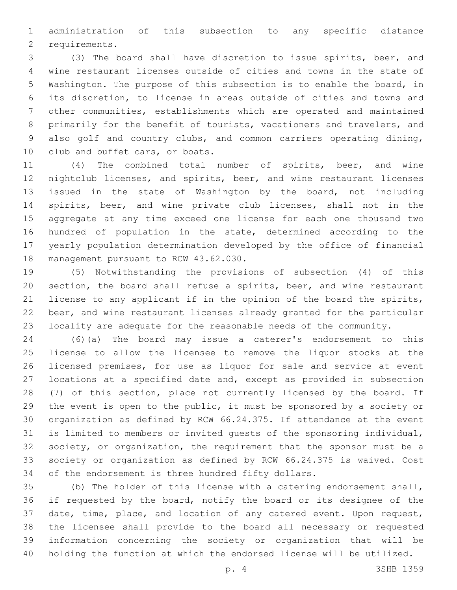administration of this subsection to any specific distance 2 requirements.

 (3) The board shall have discretion to issue spirits, beer, and wine restaurant licenses outside of cities and towns in the state of Washington. The purpose of this subsection is to enable the board, in its discretion, to license in areas outside of cities and towns and other communities, establishments which are operated and maintained primarily for the benefit of tourists, vacationers and travelers, and also golf and country clubs, and common carriers operating dining, 10 club and buffet cars, or boats.

 (4) The combined total number of spirits, beer, and wine nightclub licenses, and spirits, beer, and wine restaurant licenses issued in the state of Washington by the board, not including spirits, beer, and wine private club licenses, shall not in the aggregate at any time exceed one license for each one thousand two hundred of population in the state, determined according to the yearly population determination developed by the office of financial 18 management pursuant to RCW 43.62.030.

 (5) Notwithstanding the provisions of subsection (4) of this section, the board shall refuse a spirits, beer, and wine restaurant license to any applicant if in the opinion of the board the spirits, beer, and wine restaurant licenses already granted for the particular locality are adequate for the reasonable needs of the community.

 (6)(a) The board may issue a caterer's endorsement to this license to allow the licensee to remove the liquor stocks at the licensed premises, for use as liquor for sale and service at event locations at a specified date and, except as provided in subsection (7) of this section, place not currently licensed by the board. If the event is open to the public, it must be sponsored by a society or organization as defined by RCW 66.24.375. If attendance at the event is limited to members or invited guests of the sponsoring individual, society, or organization, the requirement that the sponsor must be a society or organization as defined by RCW 66.24.375 is waived. Cost of the endorsement is three hundred fifty dollars.

 (b) The holder of this license with a catering endorsement shall, if requested by the board, notify the board or its designee of the date, time, place, and location of any catered event. Upon request, the licensee shall provide to the board all necessary or requested information concerning the society or organization that will be holding the function at which the endorsed license will be utilized.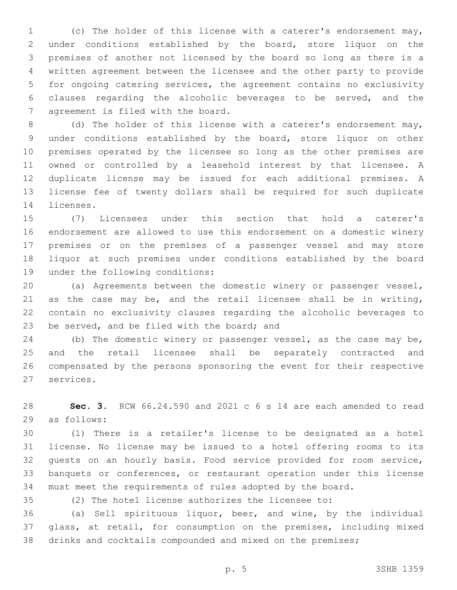(c) The holder of this license with a caterer's endorsement may, under conditions established by the board, store liquor on the premises of another not licensed by the board so long as there is a written agreement between the licensee and the other party to provide for ongoing catering services, the agreement contains no exclusivity clauses regarding the alcoholic beverages to be served, and the 7 agreement is filed with the board.

 (d) The holder of this license with a caterer's endorsement may, under conditions established by the board, store liquor on other premises operated by the licensee so long as the other premises are owned or controlled by a leasehold interest by that licensee. A duplicate license may be issued for each additional premises. A license fee of twenty dollars shall be required for such duplicate 14 licenses.

 (7) Licensees under this section that hold a caterer's endorsement are allowed to use this endorsement on a domestic winery premises or on the premises of a passenger vessel and may store liquor at such premises under conditions established by the board 19 under the following conditions:

 (a) Agreements between the domestic winery or passenger vessel, as the case may be, and the retail licensee shall be in writing, contain no exclusivity clauses regarding the alcoholic beverages to 23 be served, and be filed with the board; and

 (b) The domestic winery or passenger vessel, as the case may be, and the retail licensee shall be separately contracted and compensated by the persons sponsoring the event for their respective 27 services.

 **Sec. 3.** RCW 66.24.590 and 2021 c 6 s 14 are each amended to read 29 as follows:

 (1) There is a retailer's license to be designated as a hotel license. No license may be issued to a hotel offering rooms to its guests on an hourly basis. Food service provided for room service, banquets or conferences, or restaurant operation under this license must meet the requirements of rules adopted by the board.

(2) The hotel license authorizes the licensee to:

 (a) Sell spirituous liquor, beer, and wine, by the individual glass, at retail, for consumption on the premises, including mixed drinks and cocktails compounded and mixed on the premises;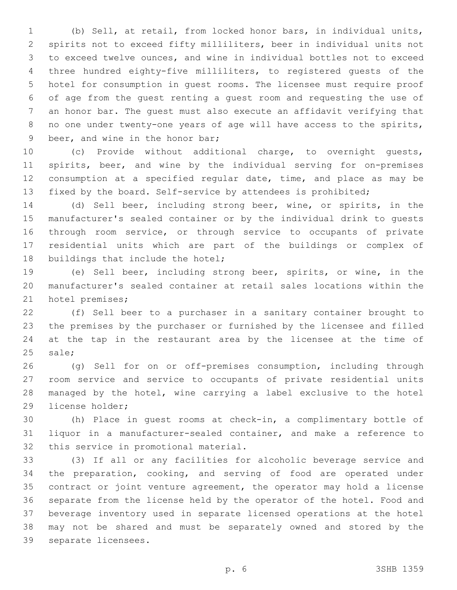(b) Sell, at retail, from locked honor bars, in individual units, spirits not to exceed fifty milliliters, beer in individual units not to exceed twelve ounces, and wine in individual bottles not to exceed three hundred eighty-five milliliters, to registered guests of the hotel for consumption in guest rooms. The licensee must require proof of age from the guest renting a guest room and requesting the use of an honor bar. The guest must also execute an affidavit verifying that no one under twenty-one years of age will have access to the spirits, 9 beer, and wine in the honor bar;

 (c) Provide without additional charge, to overnight guests, spirits, beer, and wine by the individual serving for on-premises consumption at a specified regular date, time, and place as may be fixed by the board. Self-service by attendees is prohibited;

 (d) Sell beer, including strong beer, wine, or spirits, in the manufacturer's sealed container or by the individual drink to guests through room service, or through service to occupants of private residential units which are part of the buildings or complex of 18 buildings that include the hotel;

 (e) Sell beer, including strong beer, spirits, or wine, in the manufacturer's sealed container at retail sales locations within the 21 hotel premises;

 (f) Sell beer to a purchaser in a sanitary container brought to the premises by the purchaser or furnished by the licensee and filled at the tap in the restaurant area by the licensee at the time of 25 sale;

 (g) Sell for on or off-premises consumption, including through room service and service to occupants of private residential units managed by the hotel, wine carrying a label exclusive to the hotel 29 license holder;

 (h) Place in guest rooms at check-in, a complimentary bottle of liquor in a manufacturer-sealed container, and make a reference to 32 this service in promotional material.

 (3) If all or any facilities for alcoholic beverage service and the preparation, cooking, and serving of food are operated under contract or joint venture agreement, the operator may hold a license separate from the license held by the operator of the hotel. Food and beverage inventory used in separate licensed operations at the hotel may not be shared and must be separately owned and stored by the 39 separate licensees.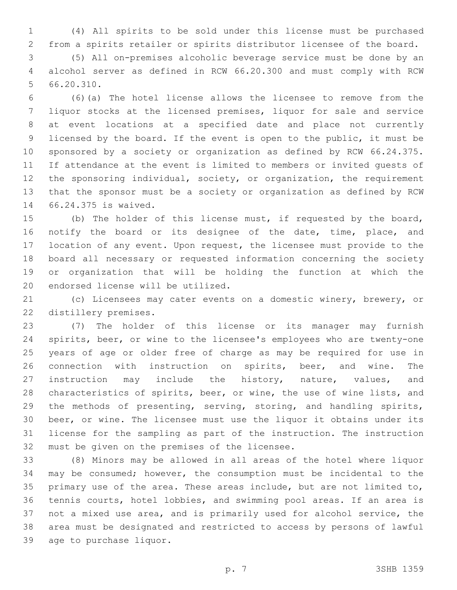(4) All spirits to be sold under this license must be purchased from a spirits retailer or spirits distributor licensee of the board.

 (5) All on-premises alcoholic beverage service must be done by an alcohol server as defined in RCW 66.20.300 and must comply with RCW 5 66.20.310.

 (6)(a) The hotel license allows the licensee to remove from the liquor stocks at the licensed premises, liquor for sale and service at event locations at a specified date and place not currently licensed by the board. If the event is open to the public, it must be sponsored by a society or organization as defined by RCW 66.24.375. If attendance at the event is limited to members or invited guests of the sponsoring individual, society, or organization, the requirement that the sponsor must be a society or organization as defined by RCW 66.24.375 is waived.14

 (b) The holder of this license must, if requested by the board, notify the board or its designee of the date, time, place, and location of any event. Upon request, the licensee must provide to the board all necessary or requested information concerning the society or organization that will be holding the function at which the 20 endorsed license will be utilized.

 (c) Licensees may cater events on a domestic winery, brewery, or 22 distillery premises.

 (7) The holder of this license or its manager may furnish spirits, beer, or wine to the licensee's employees who are twenty-one years of age or older free of charge as may be required for use in connection with instruction on spirits, beer, and wine. The instruction may include the history, nature, values, and 28 characteristics of spirits, beer, or wine, the use of wine lists, and the methods of presenting, serving, storing, and handling spirits, beer, or wine. The licensee must use the liquor it obtains under its license for the sampling as part of the instruction. The instruction 32 must be given on the premises of the licensee.

 (8) Minors may be allowed in all areas of the hotel where liquor may be consumed; however, the consumption must be incidental to the primary use of the area. These areas include, but are not limited to, tennis courts, hotel lobbies, and swimming pool areas. If an area is not a mixed use area, and is primarily used for alcohol service, the area must be designated and restricted to access by persons of lawful 39 age to purchase liquor.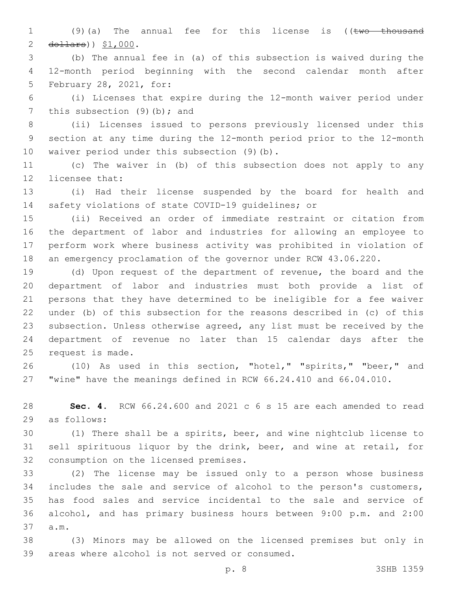1 (9)(a) The annual fee for this license is ((two thousand 2  $d$ ollars)  $$1,000$ .

 (b) The annual fee in (a) of this subsection is waived during the 12-month period beginning with the second calendar month after 5 February 28, 2021, for:

 (i) Licenses that expire during the 12-month waiver period under 7 this subsection  $(9)(b)$ ; and

 (ii) Licenses issued to persons previously licensed under this section at any time during the 12-month period prior to the 12-month 10 waiver period under this subsection (9)(b).

 (c) The waiver in (b) of this subsection does not apply to any 12 licensee that:

 (i) Had their license suspended by the board for health and safety violations of state COVID-19 guidelines; or

 (ii) Received an order of immediate restraint or citation from the department of labor and industries for allowing an employee to perform work where business activity was prohibited in violation of an emergency proclamation of the governor under RCW 43.06.220.

 (d) Upon request of the department of revenue, the board and the department of labor and industries must both provide a list of persons that they have determined to be ineligible for a fee waiver under (b) of this subsection for the reasons described in (c) of this subsection. Unless otherwise agreed, any list must be received by the department of revenue no later than 15 calendar days after the 25 request is made.

 (10) As used in this section, "hotel," "spirits," "beer," and "wine" have the meanings defined in RCW 66.24.410 and 66.04.010.

 **Sec. 4.** RCW 66.24.600 and 2021 c 6 s 15 are each amended to read 29 as follows:

 (1) There shall be a spirits, beer, and wine nightclub license to sell spirituous liquor by the drink, beer, and wine at retail, for 32 consumption on the licensed premises.

 (2) The license may be issued only to a person whose business includes the sale and service of alcohol to the person's customers, has food sales and service incidental to the sale and service of alcohol, and has primary business hours between 9:00 p.m. and 2:00 37 a.m.

 (3) Minors may be allowed on the licensed premises but only in 39 areas where alcohol is not served or consumed.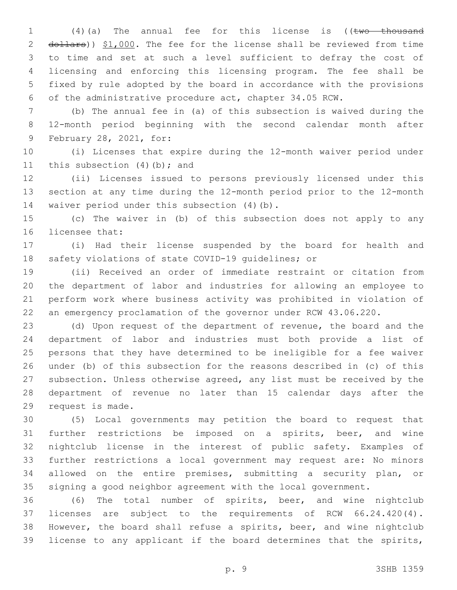1 (4)(a) The annual fee for this license is ((two thousand 2 dollars)) \$1,000. The fee for the license shall be reviewed from time to time and set at such a level sufficient to defray the cost of licensing and enforcing this licensing program. The fee shall be fixed by rule adopted by the board in accordance with the provisions of the administrative procedure act, chapter 34.05 RCW.

 (b) The annual fee in (a) of this subsection is waived during the 12-month period beginning with the second calendar month after 9 February 28, 2021, for:

 (i) Licenses that expire during the 12-month waiver period under 11 this subsection  $(4)(b)$ ; and

 (ii) Licenses issued to persons previously licensed under this section at any time during the 12-month period prior to the 12-month 14 waiver period under this subsection (4)(b).

 (c) The waiver in (b) of this subsection does not apply to any 16 licensee that:

 (i) Had their license suspended by the board for health and safety violations of state COVID-19 guidelines; or

 (ii) Received an order of immediate restraint or citation from the department of labor and industries for allowing an employee to perform work where business activity was prohibited in violation of an emergency proclamation of the governor under RCW 43.06.220.

 (d) Upon request of the department of revenue, the board and the department of labor and industries must both provide a list of persons that they have determined to be ineligible for a fee waiver under (b) of this subsection for the reasons described in (c) of this subsection. Unless otherwise agreed, any list must be received by the department of revenue no later than 15 calendar days after the 29 request is made.

 (5) Local governments may petition the board to request that further restrictions be imposed on a spirits, beer, and wine nightclub license in the interest of public safety. Examples of further restrictions a local government may request are: No minors allowed on the entire premises, submitting a security plan, or signing a good neighbor agreement with the local government.

 (6) The total number of spirits, beer, and wine nightclub licenses are subject to the requirements of RCW 66.24.420(4). However, the board shall refuse a spirits, beer, and wine nightclub license to any applicant if the board determines that the spirits,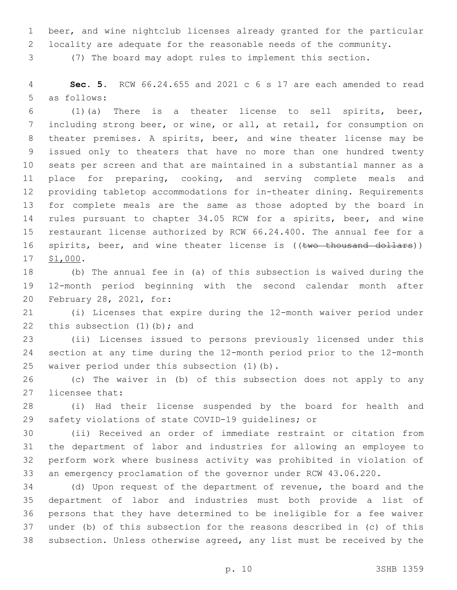beer, and wine nightclub licenses already granted for the particular

locality are adequate for the reasonable needs of the community.

(7) The board may adopt rules to implement this section.

 **Sec. 5.** RCW 66.24.655 and 2021 c 6 s 17 are each amended to read 5 as follows:

 (1)(a) There is a theater license to sell spirits, beer, including strong beer, or wine, or all, at retail, for consumption on theater premises. A spirits, beer, and wine theater license may be issued only to theaters that have no more than one hundred twenty seats per screen and that are maintained in a substantial manner as a place for preparing, cooking, and serving complete meals and providing tabletop accommodations for in-theater dining. Requirements for complete meals are the same as those adopted by the board in rules pursuant to chapter 34.05 RCW for a spirits, beer, and wine restaurant license authorized by RCW 66.24.400. The annual fee for a 16 spirits, beer, and wine theater license is ((two thousand dollars)) 17 \$1,000.

 (b) The annual fee in (a) of this subsection is waived during the 12-month period beginning with the second calendar month after 20 February 28, 2021, for:

 (i) Licenses that expire during the 12-month waiver period under 22 this subsection  $(1)$  (b); and

 (ii) Licenses issued to persons previously licensed under this section at any time during the 12-month period prior to the 12-month 25 waiver period under this subsection (1)(b).

 (c) The waiver in (b) of this subsection does not apply to any 27 licensee that:

 (i) Had their license suspended by the board for health and safety violations of state COVID-19 guidelines; or

 (ii) Received an order of immediate restraint or citation from the department of labor and industries for allowing an employee to perform work where business activity was prohibited in violation of an emergency proclamation of the governor under RCW 43.06.220.

 (d) Upon request of the department of revenue, the board and the department of labor and industries must both provide a list of persons that they have determined to be ineligible for a fee waiver under (b) of this subsection for the reasons described in (c) of this subsection. Unless otherwise agreed, any list must be received by the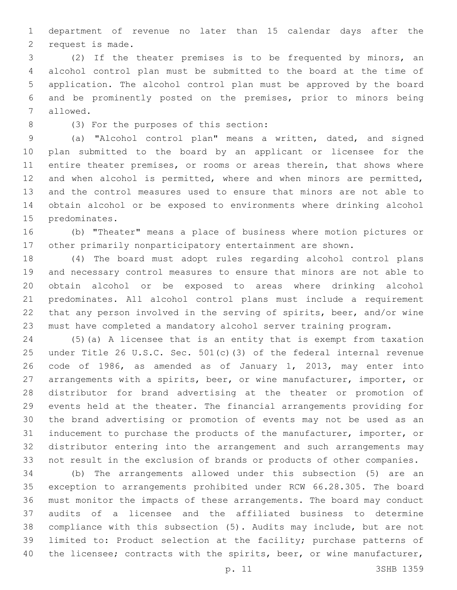department of revenue no later than 15 calendar days after the 2 request is made.

 (2) If the theater premises is to be frequented by minors, an alcohol control plan must be submitted to the board at the time of application. The alcohol control plan must be approved by the board and be prominently posted on the premises, prior to minors being 7 allowed.

(3) For the purposes of this section:8

 (a) "Alcohol control plan" means a written, dated, and signed plan submitted to the board by an applicant or licensee for the 11 entire theater premises, or rooms or areas therein, that shows where and when alcohol is permitted, where and when minors are permitted, and the control measures used to ensure that minors are not able to obtain alcohol or be exposed to environments where drinking alcohol 15 predominates.

 (b) "Theater" means a place of business where motion pictures or other primarily nonparticipatory entertainment are shown.

 (4) The board must adopt rules regarding alcohol control plans and necessary control measures to ensure that minors are not able to obtain alcohol or be exposed to areas where drinking alcohol predominates. All alcohol control plans must include a requirement that any person involved in the serving of spirits, beer, and/or wine must have completed a mandatory alcohol server training program.

 (5)(a) A licensee that is an entity that is exempt from taxation under Title 26 U.S.C. Sec. 501(c)(3) of the federal internal revenue code of 1986, as amended as of January 1, 2013, may enter into arrangements with a spirits, beer, or wine manufacturer, importer, or distributor for brand advertising at the theater or promotion of events held at the theater. The financial arrangements providing for the brand advertising or promotion of events may not be used as an inducement to purchase the products of the manufacturer, importer, or distributor entering into the arrangement and such arrangements may not result in the exclusion of brands or products of other companies.

 (b) The arrangements allowed under this subsection (5) are an exception to arrangements prohibited under RCW 66.28.305. The board must monitor the impacts of these arrangements. The board may conduct audits of a licensee and the affiliated business to determine compliance with this subsection (5). Audits may include, but are not limited to: Product selection at the facility; purchase patterns of 40 the licensee; contracts with the spirits, beer, or wine manufacturer,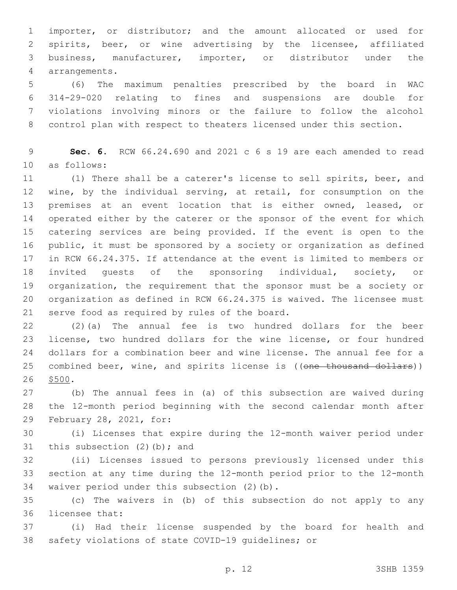importer, or distributor; and the amount allocated or used for spirits, beer, or wine advertising by the licensee, affiliated business, manufacturer, importer, or distributor under the arrangements.4

 (6) The maximum penalties prescribed by the board in WAC 314-29-020 relating to fines and suspensions are double for violations involving minors or the failure to follow the alcohol control plan with respect to theaters licensed under this section.

 **Sec. 6.** RCW 66.24.690 and 2021 c 6 s 19 are each amended to read 10 as follows:

 (1) There shall be a caterer's license to sell spirits, beer, and wine, by the individual serving, at retail, for consumption on the premises at an event location that is either owned, leased, or operated either by the caterer or the sponsor of the event for which catering services are being provided. If the event is open to the public, it must be sponsored by a society or organization as defined in RCW 66.24.375. If attendance at the event is limited to members or invited guests of the sponsoring individual, society, or organization, the requirement that the sponsor must be a society or organization as defined in RCW 66.24.375 is waived. The licensee must 21 serve food as required by rules of the board.

 (2)(a) The annual fee is two hundred dollars for the beer license, two hundred dollars for the wine license, or four hundred dollars for a combination beer and wine license. The annual fee for a 25 combined beer, wine, and spirits license is ((one thousand dollars)) 26 \$500.

 (b) The annual fees in (a) of this subsection are waived during the 12-month period beginning with the second calendar month after 29 February 28, 2021, for:

 (i) Licenses that expire during the 12-month waiver period under 31 this subsection  $(2)$  (b); and

 (ii) Licenses issued to persons previously licensed under this section at any time during the 12-month period prior to the 12-month 34 waiver period under this subsection (2)(b).

 (c) The waivers in (b) of this subsection do not apply to any 36 licensee that:

 (i) Had their license suspended by the board for health and safety violations of state COVID-19 guidelines; or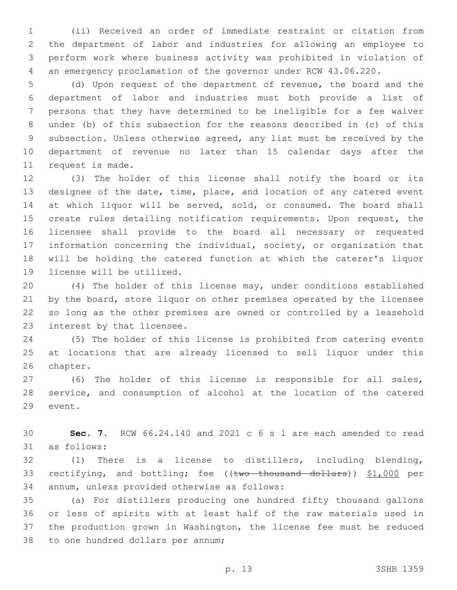(ii) Received an order of immediate restraint or citation from the department of labor and industries for allowing an employee to perform work where business activity was prohibited in violation of an emergency proclamation of the governor under RCW 43.06.220.

 (d) Upon request of the department of revenue, the board and the department of labor and industries must both provide a list of persons that they have determined to be ineligible for a fee waiver under (b) of this subsection for the reasons described in (c) of this subsection. Unless otherwise agreed, any list must be received by the department of revenue no later than 15 calendar days after the 11 request is made.

 (3) The holder of this license shall notify the board or its designee of the date, time, place, and location of any catered event 14 at which liquor will be served, sold, or consumed. The board shall create rules detailing notification requirements. Upon request, the licensee shall provide to the board all necessary or requested information concerning the individual, society, or organization that will be holding the catered function at which the caterer's liquor 19 license will be utilized.

 (4) The holder of this license may, under conditions established 21 by the board, store liquor on other premises operated by the licensee so long as the other premises are owned or controlled by a leasehold 23 interest by that licensee.

 (5) The holder of this license is prohibited from catering events at locations that are already licensed to sell liquor under this 26 chapter.

 (6) The holder of this license is responsible for all sales, service, and consumption of alcohol at the location of the catered 29 event.

 **Sec. 7.** RCW 66.24.140 and 2021 c 6 s 1 are each amended to read 31 as follows:

 (1) There is a license to distillers, including blending, 33 rectifying, and bottling; fee ((two thousand dollars)) \$1,000 per 34 annum, unless provided otherwise as follows:

 (a) For distillers producing one hundred fifty thousand gallons or less of spirits with at least half of the raw materials used in the production grown in Washington, the license fee must be reduced 38 to one hundred dollars per annum;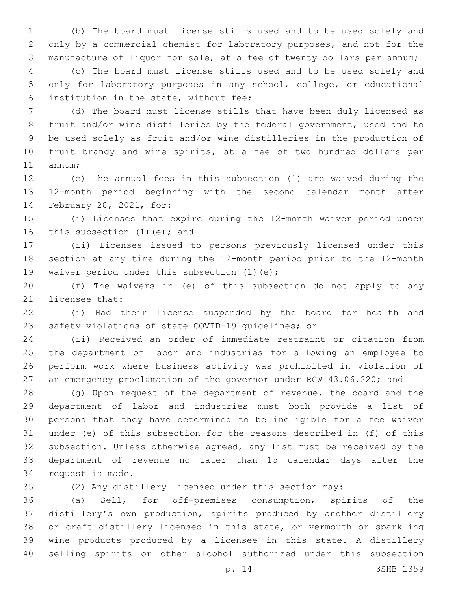(b) The board must license stills used and to be used solely and only by a commercial chemist for laboratory purposes, and not for the manufacture of liquor for sale, at a fee of twenty dollars per annum;

 (c) The board must license stills used and to be used solely and only for laboratory purposes in any school, college, or educational 6 institution in the state, without fee;

 (d) The board must license stills that have been duly licensed as fruit and/or wine distilleries by the federal government, used and to be used solely as fruit and/or wine distilleries in the production of fruit brandy and wine spirits, at a fee of two hundred dollars per 11 annum;

 (e) The annual fees in this subsection (1) are waived during the 12-month period beginning with the second calendar month after 14 February 28, 2021, for:

 (i) Licenses that expire during the 12-month waiver period under 16 this subsection  $(1)(e)$ ; and

 (ii) Licenses issued to persons previously licensed under this section at any time during the 12-month period prior to the 12-month 19 waiver period under this subsection (1)(e);

 (f) The waivers in (e) of this subsection do not apply to any 21 licensee that:

 (i) Had their license suspended by the board for health and safety violations of state COVID-19 guidelines; or

 (ii) Received an order of immediate restraint or citation from the department of labor and industries for allowing an employee to perform work where business activity was prohibited in violation of an emergency proclamation of the governor under RCW 43.06.220; and

 (g) Upon request of the department of revenue, the board and the department of labor and industries must both provide a list of persons that they have determined to be ineligible for a fee waiver under (e) of this subsection for the reasons described in (f) of this subsection. Unless otherwise agreed, any list must be received by the department of revenue no later than 15 calendar days after the 34 request is made.

(2) Any distillery licensed under this section may:

 (a) Sell, for off-premises consumption, spirits of the distillery's own production, spirits produced by another distillery or craft distillery licensed in this state, or vermouth or sparkling wine products produced by a licensee in this state. A distillery selling spirits or other alcohol authorized under this subsection

p. 14 3SHB 1359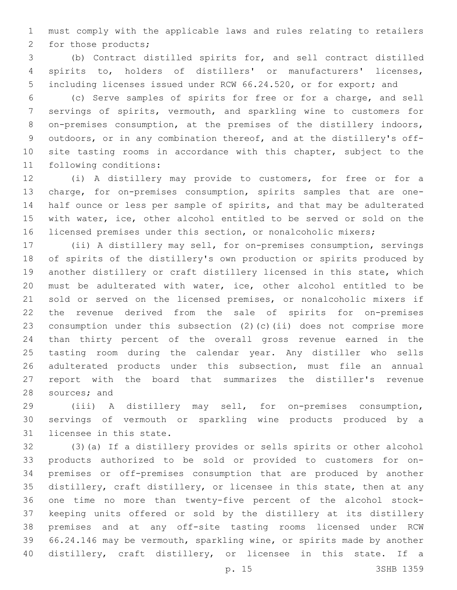must comply with the applicable laws and rules relating to retailers 2 for those products;

 (b) Contract distilled spirits for, and sell contract distilled spirits to, holders of distillers' or manufacturers' licenses, including licenses issued under RCW 66.24.520, or for export; and

 (c) Serve samples of spirits for free or for a charge, and sell servings of spirits, vermouth, and sparkling wine to customers for 8 on-premises consumption, at the premises of the distillery indoors, outdoors, or in any combination thereof, and at the distillery's off-10 site tasting rooms in accordance with this chapter, subject to the 11 following conditions:

 (i) A distillery may provide to customers, for free or for a charge, for on-premises consumption, spirits samples that are one- half ounce or less per sample of spirits, and that may be adulterated with water, ice, other alcohol entitled to be served or sold on the licensed premises under this section, or nonalcoholic mixers;

 (ii) A distillery may sell, for on-premises consumption, servings of spirits of the distillery's own production or spirits produced by another distillery or craft distillery licensed in this state, which must be adulterated with water, ice, other alcohol entitled to be sold or served on the licensed premises, or nonalcoholic mixers if the revenue derived from the sale of spirits for on-premises consumption under this subsection (2)(c)(ii) does not comprise more than thirty percent of the overall gross revenue earned in the tasting room during the calendar year. Any distiller who sells adulterated products under this subsection, must file an annual report with the board that summarizes the distiller's revenue 28 sources; and

 (iii) A distillery may sell, for on-premises consumption, servings of vermouth or sparkling wine products produced by a 31 licensee in this state.

 (3)(a) If a distillery provides or sells spirits or other alcohol products authorized to be sold or provided to customers for on- premises or off-premises consumption that are produced by another distillery, craft distillery, or licensee in this state, then at any one time no more than twenty-five percent of the alcohol stock- keeping units offered or sold by the distillery at its distillery premises and at any off-site tasting rooms licensed under RCW 66.24.146 may be vermouth, sparkling wine, or spirits made by another distillery, craft distillery, or licensee in this state. If a

p. 15 3SHB 1359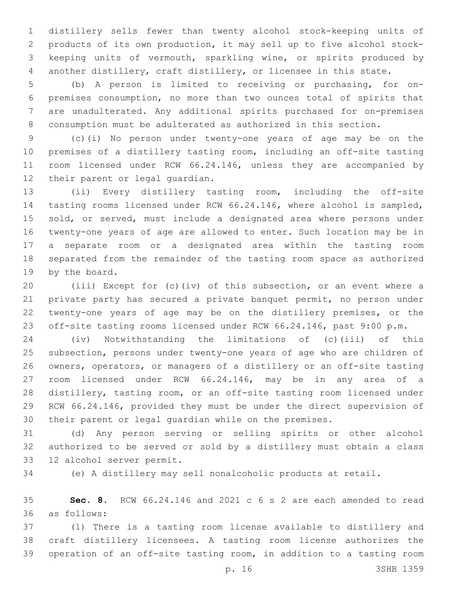distillery sells fewer than twenty alcohol stock-keeping units of products of its own production, it may sell up to five alcohol stock- keeping units of vermouth, sparkling wine, or spirits produced by another distillery, craft distillery, or licensee in this state.

 (b) A person is limited to receiving or purchasing, for on- premises consumption, no more than two ounces total of spirits that are unadulterated. Any additional spirits purchased for on-premises consumption must be adulterated as authorized in this section.

 (c)(i) No person under twenty-one years of age may be on the premises of a distillery tasting room, including an off-site tasting 11 room licensed under RCW 66.24.146, unless they are accompanied by 12 their parent or legal guardian.

 (ii) Every distillery tasting room, including the off-site tasting rooms licensed under RCW 66.24.146, where alcohol is sampled, 15 sold, or served, must include a designated area where persons under twenty-one years of age are allowed to enter. Such location may be in a separate room or a designated area within the tasting room separated from the remainder of the tasting room space as authorized 19 by the board.

 (iii) Except for (c)(iv) of this subsection, or an event where a private party has secured a private banquet permit, no person under twenty-one years of age may be on the distillery premises, or the off-site tasting rooms licensed under RCW 66.24.146, past 9:00 p.m.

 (iv) Notwithstanding the limitations of (c)(iii) of this subsection, persons under twenty-one years of age who are children of owners, operators, or managers of a distillery or an off-site tasting room licensed under RCW 66.24.146, may be in any area of a distillery, tasting room, or an off-site tasting room licensed under RCW 66.24.146, provided they must be under the direct supervision of their parent or legal guardian while on the premises.

 (d) Any person serving or selling spirits or other alcohol authorized to be served or sold by a distillery must obtain a class 33 12 alcohol server permit.

(e) A distillery may sell nonalcoholic products at retail.

 **Sec. 8.** RCW 66.24.146 and 2021 c 6 s 2 are each amended to read as follows:36

 (1) There is a tasting room license available to distillery and craft distillery licensees. A tasting room license authorizes the operation of an off-site tasting room, in addition to a tasting room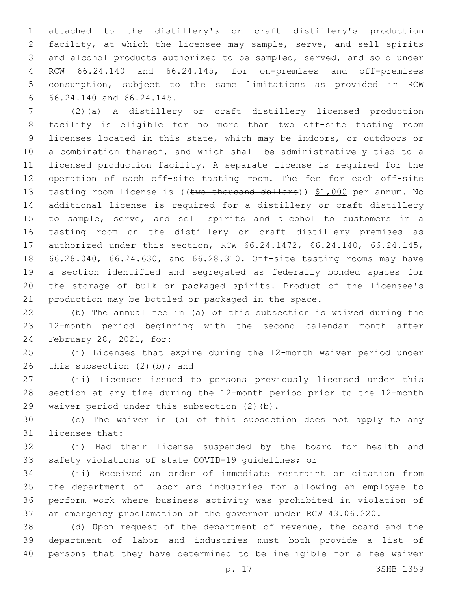attached to the distillery's or craft distillery's production facility, at which the licensee may sample, serve, and sell spirits and alcohol products authorized to be sampled, served, and sold under RCW 66.24.140 and 66.24.145, for on-premises and off-premises consumption, subject to the same limitations as provided in RCW 66.24.140 and 66.24.145.6

 (2)(a) A distillery or craft distillery licensed production facility is eligible for no more than two off-site tasting room licenses located in this state, which may be indoors, or outdoors or a combination thereof, and which shall be administratively tied to a licensed production facility. A separate license is required for the operation of each off-site tasting room. The fee for each off-site 13 tasting room license is ((two thousand dollars)) \$1,000 per annum. No additional license is required for a distillery or craft distillery to sample, serve, and sell spirits and alcohol to customers in a tasting room on the distillery or craft distillery premises as authorized under this section, RCW 66.24.1472, 66.24.140, 66.24.145, 66.28.040, 66.24.630, and 66.28.310. Off-site tasting rooms may have a section identified and segregated as federally bonded spaces for the storage of bulk or packaged spirits. Product of the licensee's production may be bottled or packaged in the space.

 (b) The annual fee in (a) of this subsection is waived during the 12-month period beginning with the second calendar month after 24 February 28, 2021, for:

 (i) Licenses that expire during the 12-month waiver period under 26 this subsection  $(2)$  (b); and

 (ii) Licenses issued to persons previously licensed under this section at any time during the 12-month period prior to the 12-month 29 waiver period under this subsection (2)(b).

 (c) The waiver in (b) of this subsection does not apply to any 31 licensee that:

 (i) Had their license suspended by the board for health and safety violations of state COVID-19 guidelines; or

 (ii) Received an order of immediate restraint or citation from the department of labor and industries for allowing an employee to perform work where business activity was prohibited in violation of an emergency proclamation of the governor under RCW 43.06.220.

 (d) Upon request of the department of revenue, the board and the department of labor and industries must both provide a list of persons that they have determined to be ineligible for a fee waiver